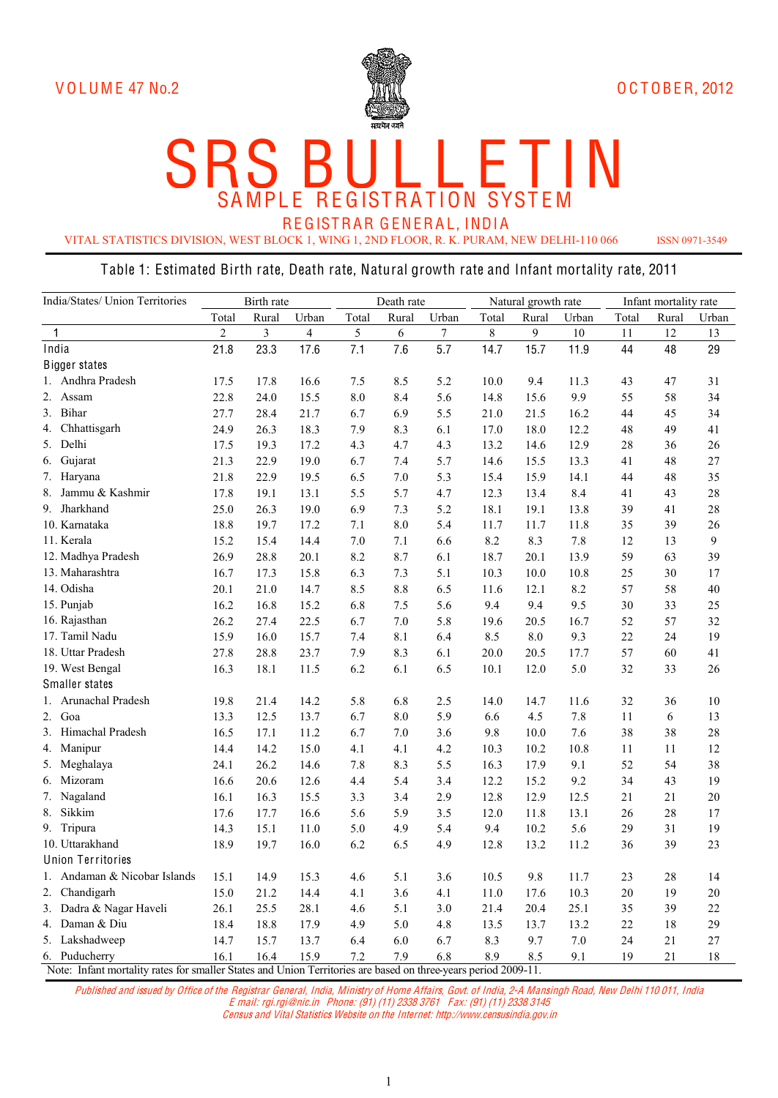

#### SR SA S MPL E B RE U GIST  $\overline{\mathsf{L}}$ **RAT**  $\overline{\mathsf{L}}$ ION E **SYS** T T E M IN

REGISTRAR GENERAL, INDIA

VITAL STATISTICS DIVISION, WEST BLOCK 1, WING 1, 2ND FLOOR, R. K. PURAM, NEW DELHI-110 066 ISSN 0971-3549

#### Table 1: Estimated Birth rate, Death rate, Natural growth rate and Infant mortality rate, 2011

| India/States/ Union Territories                                                                                | Birth rate     |       |       | Death rate |       |        | Natural growth rate |       |         | Infant mortality rate |       |        |
|----------------------------------------------------------------------------------------------------------------|----------------|-------|-------|------------|-------|--------|---------------------|-------|---------|-----------------------|-------|--------|
|                                                                                                                | Total          | Rural | Urban | Total      | Rural | Urban  | Total               | Rural | Urban   | Total                 | Rural | Urban  |
| $\mathbf{1}$                                                                                                   | $\overline{2}$ | 3     | 4     | 5          | 6     | $\tau$ | 8                   | 9     | $10\,$  | 11                    | 12    | 13     |
| India                                                                                                          | 21.8           | 23.3  | 17.6  | 7.1        | 7.6   | 5.7    | 14.7                | 15.7  | 11.9    | 44                    | 48    | 29     |
| <b>Bigger states</b>                                                                                           |                |       |       |            |       |        |                     |       |         |                       |       |        |
| 1. Andhra Pradesh                                                                                              | 17.5           | 17.8  | 16.6  | 7.5        | 8.5   | 5.2    | 10.0                | 9.4   | 11.3    | 43                    | 47    | 31     |
| 2. Assam                                                                                                       | 22.8           | 24.0  | 15.5  | 8.0        | 8.4   | 5.6    | 14.8                | 15.6  | 9.9     | 55                    | 58    | 34     |
| 3. Bihar                                                                                                       | 27.7           | 28.4  | 21.7  | 6.7        | 6.9   | 5.5    | 21.0                | 21.5  | 16.2    | 44                    | 45    | 34     |
| 4. Chhattisgarh                                                                                                | 24.9           | 26.3  | 18.3  | 7.9        | 8.3   | 6.1    | 17.0                | 18.0  | 12.2    | 48                    | 49    | 41     |
| 5. Delhi                                                                                                       | 17.5           | 19.3  | 17.2  | 4.3        | 4.7   | 4.3    | 13.2                | 14.6  | 12.9    | 28                    | 36    | 26     |
| Gujarat<br>6.                                                                                                  | 21.3           | 22.9  | 19.0  | 6.7        | 7.4   | 5.7    | 14.6                | 15.5  | 13.3    | 41                    | 48    | 27     |
| 7. Haryana                                                                                                     | 21.8           | 22.9  | 19.5  | 6.5        | 7.0   | 5.3    | 15.4                | 15.9  | 14.1    | 44                    | 48    | 35     |
| 8.<br>Jammu & Kashmir                                                                                          | 17.8           | 19.1  | 13.1  | 5.5        | 5.7   | 4.7    | 12.3                | 13.4  | 8.4     | 41                    | 43    | 28     |
| 9. Jharkhand                                                                                                   | 25.0           | 26.3  | 19.0  | 6.9        | 7.3   | 5.2    | 18.1                | 19.1  | 13.8    | 39                    | 41    | 28     |
| 10. Karnataka                                                                                                  | 18.8           | 19.7  | 17.2  | 7.1        | 8.0   | 5.4    | 11.7                | 11.7  | 11.8    | 35                    | 39    | 26     |
| 11. Kerala                                                                                                     | 15.2           | 15.4  | 14.4  | 7.0        | 7.1   | 6.6    | 8.2                 | 8.3   | 7.8     | 12                    | 13    | 9      |
| 12. Madhya Pradesh                                                                                             | 26.9           | 28.8  | 20.1  | 8.2        | 8.7   | 6.1    | 18.7                | 20.1  | 13.9    | 59                    | 63    | 39     |
| 13. Maharashtra                                                                                                | 16.7           | 17.3  | 15.8  | 6.3        | 7.3   | 5.1    | 10.3                | 10.0  | 10.8    | 25                    | 30    | 17     |
| 14. Odisha                                                                                                     | 20.1           | 21.0  | 14.7  | 8.5        | 8.8   | 6.5    | 11.6                | 12.1  | 8.2     | 57                    | 58    | 40     |
| 15. Punjab                                                                                                     | 16.2           | 16.8  | 15.2  | 6.8        | 7.5   | 5.6    | 9.4                 | 9.4   | 9.5     | 30                    | 33    | 25     |
| 16. Rajasthan                                                                                                  | 26.2           | 27.4  | 22.5  | 6.7        | 7.0   | 5.8    | 19.6                | 20.5  | 16.7    | 52                    | 57    | 32     |
| 17. Tamil Nadu                                                                                                 | 15.9           | 16.0  | 15.7  | 7.4        | 8.1   | 6.4    | 8.5                 | 8.0   | 9.3     | 22                    | 24    | 19     |
| 18. Uttar Pradesh                                                                                              | 27.8           | 28.8  | 23.7  | 7.9        | 8.3   | 6.1    | 20.0                | 20.5  | 17.7    | 57                    | 60    | 41     |
| 19. West Bengal                                                                                                | 16.3           | 18.1  | 11.5  | 6.2        | 6.1   | 6.5    | 10.1                | 12.0  | 5.0     | 32                    | 33    | 26     |
| Smaller states                                                                                                 |                |       |       |            |       |        |                     |       |         |                       |       |        |
| 1. Arunachal Pradesh                                                                                           | 19.8           | 21.4  | 14.2  | 5.8        | 6.8   | 2.5    | 14.0                | 14.7  | 11.6    | 32                    | 36    | 10     |
| 2. Goa                                                                                                         | 13.3           | 12.5  | 13.7  | 6.7        | 8.0   | 5.9    | 6.6                 | 4.5   | 7.8     | 11                    | 6     | 13     |
| 3. Himachal Pradesh                                                                                            | 16.5           | 17.1  | 11.2  | 6.7        | 7.0   | 3.6    | 9.8                 | 10.0  | 7.6     | 38                    | 38    | 28     |
| 4. Manipur                                                                                                     | 14.4           | 14.2  | 15.0  | 4.1        | 4.1   | 4.2    | 10.3                | 10.2  | 10.8    | 11                    | 11    | 12     |
| 5. Meghalaya                                                                                                   | 24.1           | 26.2  | 14.6  | 7.8        | 8.3   | 5.5    | 16.3                | 17.9  | 9.1     | 52                    | 54    | 38     |
| 6. Mizoram                                                                                                     | 16.6           | 20.6  | 12.6  | 4.4        | 5.4   | 3.4    | 12.2                | 15.2  | 9.2     | 34                    | 43    | 19     |
| 7. Nagaland                                                                                                    | 16.1           | 16.3  | 15.5  | 3.3        | 3.4   | 2.9    | 12.8                | 12.9  | 12.5    | 21                    | 21    | 20     |
| Sikkim<br>8.                                                                                                   | 17.6           | 17.7  | 16.6  | 5.6        | 5.9   | 3.5    | 12.0                | 11.8  | 13.1    | 26                    | 28    | 17     |
| 9. Tripura                                                                                                     | 14.3           | 15.1  | 11.0  | 5.0        | 4.9   | 5.4    | 9.4                 | 10.2  | 5.6     | 29                    | 31    | 19     |
| 10. Uttarakhand                                                                                                | 18.9           | 19.7  | 16.0  | 6.2        | 6.5   | 4.9    | 12.8                | 13.2  | 11.2    | 36                    | 39    | 23     |
| <b>Union Territories</b>                                                                                       |                |       |       |            |       |        |                     |       |         |                       |       |        |
| Andaman & Nicobar Islands<br>Ι.                                                                                | 15.1           | 14.9  | 15.3  | 4.6        | 5.1   | 3.6    | 10.5                | 9.8   | 11.7    | 23                    | 28    | 14     |
| 2. Chandigarh                                                                                                  | 15.0           | 21.2  | 14.4  | 4.1        | 3.6   | 4.1    | 11.0                | 17.6  | 10.3    | 20                    | 19    | 20     |
| 3. Dadra & Nagar Haveli                                                                                        | 26.1           | 25.5  | 28.1  | 4.6        | 5.1   | 3.0    | 21.4                | 20.4  | 25.1    | 35                    | 39    | 22     |
| 4. Daman & Diu                                                                                                 | 18.4           | 18.8  | 17.9  | 4.9        | 5.0   | 4.8    | 13.5                | 13.7  | 13.2    | 22                    | 18    | 29     |
| 5. Lakshadweep                                                                                                 | 14.7           | 15.7  | 13.7  | 6.4        | 6.0   | 6.7    | 8.3                 | 9.7   | $7.0\,$ | 24                    | 21    | $27\,$ |
| 6. Puducherry                                                                                                  | 16.1           | 16.4  | 15.9  | 7.2        | 7.9   | 6.8    | 8.9                 | 8.5   | 9.1     | 19                    | 21    | 18     |
| Note: Infant mortality rates for smaller States and Union Territories are based on three-years period 2009-11. |                |       |       |            |       |        |                     |       |         |                       |       |        |

Published and issued by Office of th<sup>e</sup> Registrar General, India, Ministry of Hom<sup>e</sup> Affairs, Govt. of India, 2-A Mansingh Road, Ne<sup>w</sup> Delhi 110 011, India E mail: rgi.rgi@ni<sup>c</sup>.in Phone: (91) (11) 2338 3761 F ax: (91) (11) 2338 3145 Censu<sup>s</sup> and Vital Statistic<sup>s</sup> Websit<sup>e</sup> on th<sup>e</sup> Internet: http://www.censusindia.gov.in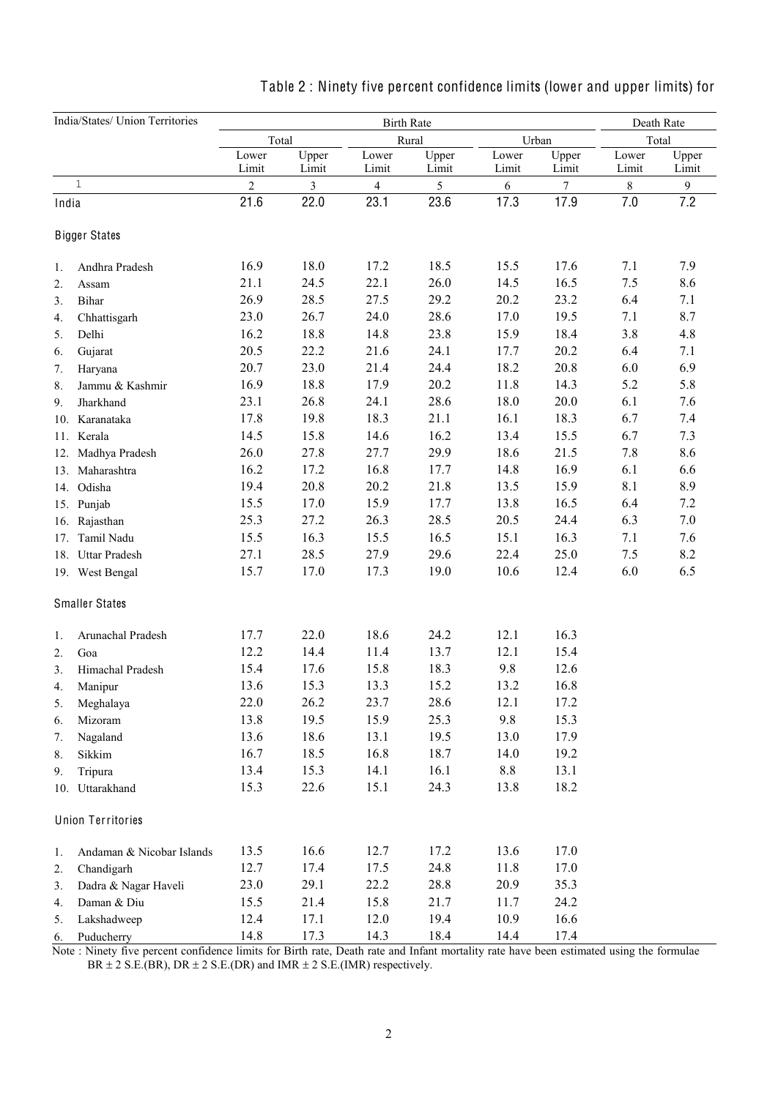| India/States/ Union Territories |                           |                | Death Rate     |                   |                |                |                |                |                |
|---------------------------------|---------------------------|----------------|----------------|-------------------|----------------|----------------|----------------|----------------|----------------|
|                                 |                           | Total          |                | <b>Birth Rate</b> | Rural          |                | Urban          |                | Total          |
|                                 |                           | Lower<br>Limit | Upper<br>Limit | Lower<br>Limit    | Upper<br>Limit | Lower<br>Limit | Upper<br>Limit | Lower<br>Limit | Upper<br>Limit |
|                                 | $\mathbf{1}$              | $\overline{c}$ | 3              | 4                 | 5              | 6              | $\tau$         | $\,8\,$        | $\mathbf{9}$   |
| India                           |                           | 21.6           | 22.0           | 23.1              | 23.6           | 17.3           | 17.9           | 7.0            | 7.2            |
|                                 | <b>Bigger States</b>      |                |                |                   |                |                |                |                |                |
| 1.                              | Andhra Pradesh            | 16.9           | 18.0           | 17.2              | 18.5           | 15.5           | 17.6           | 7.1            | 7.9            |
| $\overline{2}$ .                | Assam                     | 21.1           | 24.5           | 22.1              | 26.0           | 14.5           | 16.5           | 7.5            | 8.6            |
| 3.                              | Bihar                     | 26.9           | 28.5           | 27.5              | 29.2           | 20.2           | 23.2           | 6.4            | 7.1            |
| 4.                              | Chhattisgarh              | 23.0           | 26.7           | 24.0              | 28.6           | 17.0           | 19.5           | 7.1            | 8.7            |
| 5.                              | Delhi                     | 16.2           | 18.8           | 14.8              | 23.8           | 15.9           | 18.4           | 3.8            | 4.8            |
| 6.                              | Gujarat                   | 20.5           | 22.2           | 21.6              | 24.1           | 17.7           | 20.2           | 6.4            | 7.1            |
| 7.                              | Haryana                   | 20.7           | 23.0           | 21.4              | 24.4           | 18.2           | 20.8           | 6.0            | 6.9            |
| 8.                              | Jammu & Kashmir           | 16.9           | 18.8           | 17.9              | 20.2           | 11.8           | 14.3           | 5.2            | 5.8            |
| 9.                              | Jharkhand                 | 23.1           | 26.8           | 24.1              | 28.6           | 18.0           | 20.0           | 6.1            | 7.6            |
|                                 | 10. Karanataka            | 17.8           | 19.8           | 18.3              | 21.1           | 16.1           | 18.3           | 6.7            | 7.4            |
|                                 | 11. Kerala                | 14.5           | 15.8           | 14.6              | 16.2           | 13.4           | 15.5           | 6.7            | 7.3            |
| 12.                             | Madhya Pradesh            | 26.0           | 27.8           | 27.7              | 29.9           | 18.6           | 21.5           | 7.8            | 8.6            |
|                                 | 13. Maharashtra           | 16.2           | 17.2           | 16.8              | 17.7           | 14.8           | 16.9           | 6.1            | 6.6            |
|                                 | 14. Odisha                | 19.4           | 20.8           | 20.2              | 21.8           | 13.5           | 15.9           | 8.1            | 8.9            |
|                                 | 15. Punjab                | 15.5           | 17.0           | 15.9              | 17.7           | 13.8           | 16.5           | 6.4            | 7.2            |
|                                 | 16. Rajasthan             | 25.3           | 27.2           | 26.3              | 28.5           | 20.5           | 24.4           | 6.3            | 7.0            |
|                                 | Tamil Nadu                | 15.5           | 16.3           | 15.5              | 16.5           | 15.1           | 16.3           | 7.1            | 7.6            |
| 17.                             |                           | 27.1           | 28.5           | 27.9              | 29.6           | 22.4           | 25.0           | 7.5            | 8.2            |
| 18.                             | <b>Uttar Pradesh</b>      |                |                |                   | 19.0           | 10.6           |                |                |                |
|                                 | 19. West Bengal           | 15.7           | 17.0           | 17.3              |                |                | 12.4           | 6.0            | 6.5            |
|                                 | <b>Smaller States</b>     |                |                |                   |                |                |                |                |                |
| 1.                              | Arunachal Pradesh         | 17.7           | 22.0           | 18.6              | 24.2           | 12.1           | 16.3           |                |                |
| 2.                              | Goa                       | 12.2           | 14.4           | 11.4              | 13.7           | 12.1           | 15.4           |                |                |
| 3.                              | Himachal Pradesh          | 15.4           | 17.6           | 15.8              | 18.3           | 9.8            | 12.6           |                |                |
| 4.                              | Manipur                   | 13.6           | 15.3           | 13.3              | 15.2           | 13.2           | 16.8           |                |                |
| 5.                              | Meghalaya                 | 22.0           | 26.2           | 23.7              | 28.6           | 12.1           | 17.2           |                |                |
| 6.                              | Mizoram                   | 13.8           | 19.5           | 15.9              | 25.3           | 9.8            | 15.3           |                |                |
| 7.                              | Nagaland                  | 13.6           | 18.6           | 13.1              | 19.5           | 13.0           | 17.9           |                |                |
| 8.                              | Sikkim                    | 16.7           | 18.5           | 16.8              | 18.7           | 14.0           | 19.2           |                |                |
| 9.                              | Tripura                   | 13.4           | 15.3           | 14.1              | 16.1           | 8.8            | 13.1           |                |                |
|                                 | 10. Uttarakhand           | 15.3           | 22.6           | 15.1              | 24.3           | 13.8           | 18.2           |                |                |
|                                 | <b>Union Territories</b>  |                |                |                   |                |                |                |                |                |
| 1.                              | Andaman & Nicobar Islands | 13.5           | 16.6           | 12.7              | 17.2           | 13.6           | 17.0           |                |                |
| 2.                              | Chandigarh                | 12.7           | 17.4           | 17.5              | 24.8           | 11.8           | 17.0           |                |                |
| 3.                              | Dadra & Nagar Haveli      | 23.0           | 29.1           | 22.2              | 28.8           | 20.9           | 35.3           |                |                |
| 4.                              | Daman & Diu               | 15.5           | 21.4           | 15.8              | 21.7           | 11.7           | 24.2           |                |                |
| 5.                              | Lakshadweep               | 12.4           | 17.1           | 12.0              | 19.4           | 10.9           | 16.6           |                |                |
| 6.                              | Puducherry                | 14.8           | 17.3           | 14.3              | 18.4           | 14.4           | 17.4           |                |                |
|                                 |                           |                |                |                   |                |                |                |                |                |

# Table 2 : Ninety five percent confidence limits (lower and upper limits) for

 Note : Ninety five percent confidence limits for Birth rate, Death rate and Infant mortality rate have been estimated using the formulae  $BR \pm 2$  S.E.(BR), DR  $\pm 2$  S.E.(DR) and IMR  $\pm 2$  S.E.(IMR) respectively.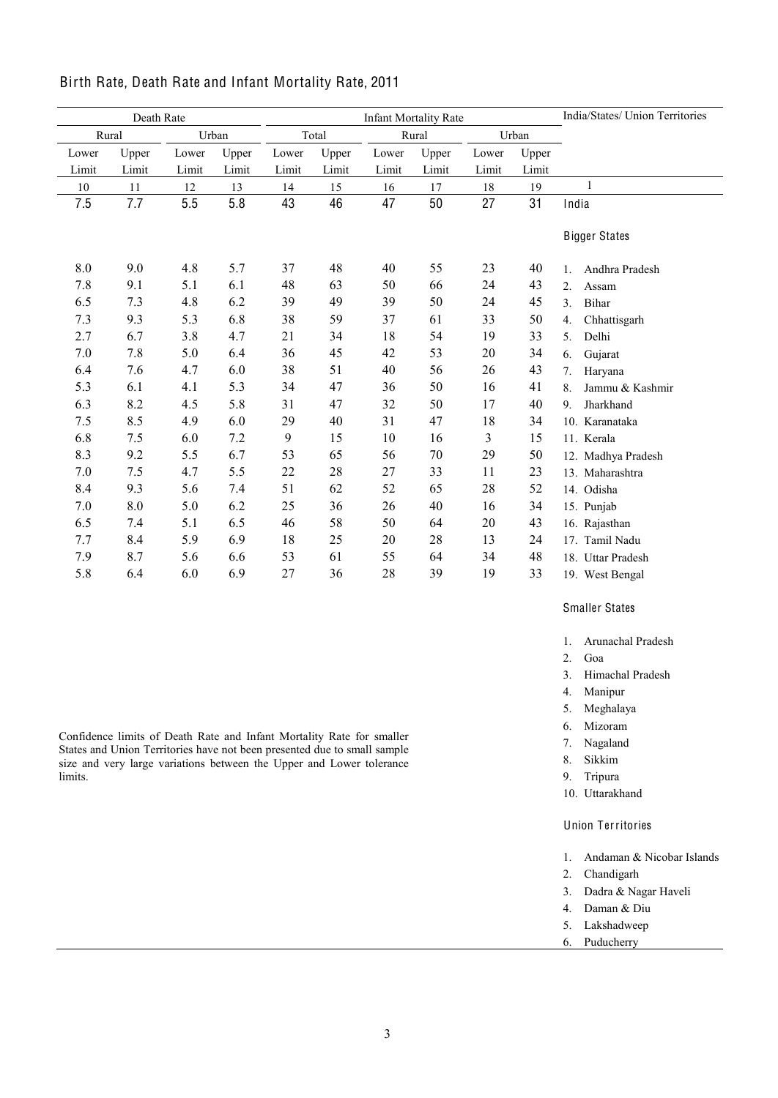| Death Rate     |       |       |         |       | <b>Infant Mortality Rate</b> | India/States/ Union Territories |       |       |       |                                  |
|----------------|-------|-------|---------|-------|------------------------------|---------------------------------|-------|-------|-------|----------------------------------|
| Rural<br>Urban |       | Total |         |       | Rural                        |                                 | Urban |       |       |                                  |
| Lower          | Upper | Lower | Upper   | Lower | Upper                        | Lower                           | Upper | Lower | Upper |                                  |
| Limit          | Limit | Limit | Limit   | Limit | Limit                        | Limit                           | Limit | Limit | Limit |                                  |
| 10             | 11    | 12    | 13      | 14    | 15                           | 16                              | 17    | 18    | 19    | $\mathbf{1}$                     |
| 7.5            | 7.7   | 5.5   | 5.8     | 43    | 46                           | 47                              | 50    | 27    | 31    | India                            |
|                |       |       |         |       |                              |                                 |       |       |       | <b>Bigger States</b>             |
|                |       |       |         |       |                              |                                 |       |       |       |                                  |
| $8.0\,$        | 9.0   | 4.8   | 5.7     | 37    | 48                           | 40                              | 55    | 23    | 40    | Andhra Pradesh<br>1.             |
| 7.8            | 9.1   | 5.1   | 6.1     | 48    | 63                           | 50                              | 66    | 24    | 43    | 2.<br>Assam                      |
| 6.5            | 7.3   | 4.8   | 6.2     | 39    | 49                           | 39                              | 50    | 24    | 45    | 3 <sub>1</sub><br>Bihar          |
| 7.3            | 9.3   | 5.3   | 6.8     | 38    | 59                           | 37                              | 61    | 33    | 50    | Chhattisgarh<br>$\overline{4}$ . |
| 2.7            | 6.7   | 3.8   | 4.7     | 21    | 34                           | 18                              | 54    | 19    | 33    | Delhi<br>5.                      |
| 7.0            | 7.8   | 5.0   | 6.4     | 36    | 45                           | 42                              | 53    | 20    | 34    | Gujarat<br>6.                    |
| 6.4            | 7.6   | 4.7   | 6.0     | 38    | 51                           | 40                              | 56    | 26    | 43    | 7.<br>Haryana                    |
| 5.3            | 6.1   | 4.1   | 5.3     | 34    | 47                           | 36                              | 50    | 16    | 41    | Jammu & Kashmir<br>8.            |
| 6.3            | 8.2   | 4.5   | 5.8     | 31    | 47                           | 32                              | 50    | 17    | 40    | Jharkhand<br>9 <sub>1</sub>      |
| 7.5            | 8.5   | 4.9   | 6.0     | 29    | 40                           | 31                              | 47    | 18    | 34    | 10. Karanataka                   |
| 6.8            | 7.5   | 6.0   | $7.2\,$ | 9     | 15                           | 10                              | 16    | 3     | 15    | 11. Kerala                       |
| 8.3            | 9.2   | 5.5   | 6.7     | 53    | 65                           | 56                              | 70    | 29    | 50    | 12. Madhya Pradesh               |
| 7.0            | 7.5   | 4.7   | 5.5     | 22    | 28                           | 27                              | 33    | 11    | 23    | 13. Maharashtra                  |
| 8.4            | 9.3   | 5.6   | 7.4     | 51    | 62                           | 52                              | 65    | 28    | 52    | 14. Odisha                       |
| 7.0            | 8.0   | 5.0   | 6.2     | 25    | 36                           | 26                              | 40    | 16    | 34    | 15. Punjab                       |
| 6.5            | 7.4   | 5.1   | 6.5     | 46    | 58                           | 50                              | 64    | 20    | 43    | 16. Rajasthan                    |
| 7.7            | 8.4   | 5.9   | 6.9     | 18    | 25                           | 20                              | 28    | 13    | 24    | 17. Tamil Nadu                   |
| 7.9            | 8.7   | 5.6   | 6.6     | 53    | 61                           | 55                              | 64    | 34    | 48    | 18. Uttar Pradesh                |
| 5.8            | 6.4   | 6.0   | 6.9     | 27    | 36                           | 28                              | 39    | 19    | 33    | 19. West Bengal                  |

## Birth Rate, Death Rate and Infant Mortality Rate, 2011

Smaller States

- 1. Arunachal Pradesh
- 2. Goa
- 3. Himachal Pradesh
- 4. Manipur
- 5. Meghalaya
- 6. Mizoram
- 7. Nagaland
- 8. Sikkim
- 9. Tripura
- 10. Uttarakhand

### Union Territories

- 1. Andaman & Nicobar Islands
- 2. Chandigarh
- 3. Dadra & Nagar Haveli
- 4. Daman & Diu
- 5. Lakshadweep 6. Puducherry

3

Confidence limits of Death Rate and Infant Mortality Rate for smaller States and Union Territories have not been presented due to small sample size and very large variations between the Upper and Lower tolerance limits.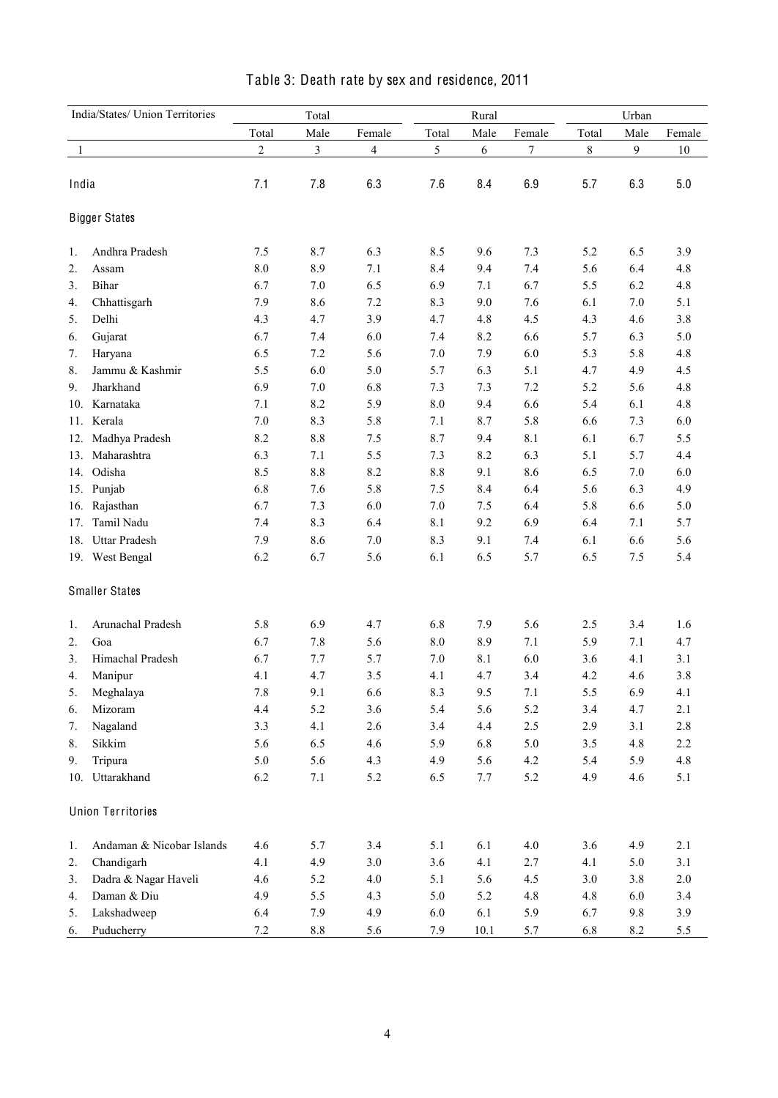| India/States/ Union Territories |                           |                | Total   |                |           | Rural |         | Urban   |         |         |  |
|---------------------------------|---------------------------|----------------|---------|----------------|-----------|-------|---------|---------|---------|---------|--|
|                                 |                           | Total          | Male    | Female         | Total     | Male  | Female  | Total   | Male    | Female  |  |
| -1                              |                           | $\overline{c}$ | 3       | $\overline{4}$ | 5         | 6     | 7       | 8       | 9       | 10      |  |
|                                 |                           |                |         |                |           |       |         |         |         |         |  |
| India                           |                           | 7.1            | 7.8     | 6.3            | 7.6       | 8.4   | 6.9     | 5.7     | 6.3     | 5.0     |  |
|                                 | <b>Bigger States</b>      |                |         |                |           |       |         |         |         |         |  |
| 1.                              | Andhra Pradesh            | 7.5            | 8.7     | 6.3            | 8.5       | 9.6   | 7.3     | 5.2     | 6.5     | 3.9     |  |
| 2.                              | Assam                     | 8.0            | 8.9     | 7.1            | 8.4       | 9.4   | 7.4     | 5.6     | 6.4     | 4.8     |  |
| 3.                              | Bihar                     | 6.7            | $7.0\,$ | 6.5            | 6.9       | 7.1   | 6.7     | 5.5     | 6.2     | 4.8     |  |
| 4.                              | Chhattisgarh              | 7.9            | 8.6     | 7.2            | 8.3       | 9.0   | 7.6     | 6.1     | $7.0\,$ | 5.1     |  |
| 5.                              | Delhi                     | 4.3            | 4.7     | 3.9            | 4.7       | 4.8   | 4.5     | 4.3     | 4.6     | 3.8     |  |
| 6.                              | Gujarat                   | 6.7            | 7.4     | 6.0            | 7.4       | 8.2   | 6.6     | 5.7     | 6.3     | 5.0     |  |
| 7.                              | Haryana                   | 6.5            | 7.2     | 5.6            | 7.0       | 7.9   | 6.0     | 5.3     | 5.8     | 4.8     |  |
| 8.                              | Jammu & Kashmir           | 5.5            | 6.0     | 5.0            | 5.7       | 6.3   | 5.1     | 4.7     | 4.9     | 4.5     |  |
| 9.                              | Jharkhand                 | 6.9            | $7.0\,$ | 6.8            | 7.3       | 7.3   | 7.2     | 5.2     | 5.6     | 4.8     |  |
| 10.                             | Karnataka                 | 7.1            | 8.2     | 5.9            | $\ \ 8.0$ | 9.4   | 6.6     | 5.4     | 6.1     | 4.8     |  |
| 11.                             | Kerala                    | $7.0\,$        | 8.3     | 5.8            | 7.1       | 8.7   | 5.8     | 6.6     | 7.3     | 6.0     |  |
| 12.                             | Madhya Pradesh            | 8.2            | $8.8\,$ | 7.5            | 8.7       | 9.4   | 8.1     | 6.1     | 6.7     | 5.5     |  |
| 13.                             | Maharashtra               | 6.3            | 7.1     | 5.5            | 7.3       | 8.2   | 6.3     | 5.1     | 5.7     | 4.4     |  |
| 14.                             | Odisha                    | 8.5            | 8.8     | 8.2            | $8.8\,$   | 9.1   | 8.6     | 6.5     | $7.0\,$ | 6.0     |  |
|                                 | 15. Punjab                | 6.8            | 7.6     | 5.8            | 7.5       | 8.4   | 6.4     | 5.6     | 6.3     | 4.9     |  |
| 16.                             | Rajasthan                 | 6.7            | 7.3     | 6.0            | 7.0       | 7.5   | 6.4     | 5.8     | 6.6     | 5.0     |  |
| 17.                             | Tamil Nadu                | 7.4            | 8.3     | 6.4            | 8.1       | 9.2   | 6.9     | 6.4     | 7.1     | 5.7     |  |
| 18.                             | <b>Uttar Pradesh</b>      | 7.9            | 8.6     | 7.0            | 8.3       | 9.1   | 7.4     | 6.1     | 6.6     | 5.6     |  |
|                                 | 19. West Bengal           | 6.2            | 6.7     | 5.6            | 6.1       | 6.5   | 5.7     | 6.5     | 7.5     | 5.4     |  |
|                                 | <b>Smaller States</b>     |                |         |                |           |       |         |         |         |         |  |
| 1.                              | Arunachal Pradesh         | 5.8            | 6.9     | 4.7            | 6.8       | 7.9   | 5.6     | 2.5     | 3.4     | 1.6     |  |
| 2.                              | Goa                       | 6.7            | 7.8     | 5.6            | 8.0       | 8.9   | 7.1     | 5.9     | $7.1\,$ | 4.7     |  |
| 3.                              | Himachal Pradesh          | 6.7            | 7.7     | 5.7            | 7.0       | 8.1   | 6.0     | 3.6     | 4.1     | 3.1     |  |
| 4.                              | Manipur                   | 4.1            | 4.7     | 3.5            | 4.1       | 4.7   | 3.4     | 4.2     | 4.6     | 3.8     |  |
| 5.                              | Meghalaya                 | 7.8            | 9.1     | 6.6            | 8.3       | 9.5   | 7.1     | 5.5     | 6.9     | 4.1     |  |
| 6.                              | Mizoram                   | 4.4            | 5.2     | 3.6            | 5.4       | 5.6   | 5.2     | 3.4     | 4.7     | 2.1     |  |
| 7.                              | Nagaland                  | 3.3            | 4.1     | 2.6            | 3.4       | 4.4   | $2.5\,$ | 2.9     | 3.1     | $2.8\,$ |  |
| 8.                              | Sikkim                    | 5.6            | 6.5     | 4.6            | 5.9       | 6.8   | $5.0\,$ | $3.5$   | 4.8     | 2.2     |  |
| 9.                              | Tripura                   | 5.0            | 5.6     | 4.3            | 4.9       | 5.6   | $4.2\,$ | 5.4     | 5.9     | 4.8     |  |
|                                 | 10. Uttarakhand           | 6.2            | 7.1     | 5.2            | 6.5       | 7.7   | 5.2     | 4.9     | 4.6     | 5.1     |  |
|                                 | <b>Union Territories</b>  |                |         |                |           |       |         |         |         |         |  |
| 1.                              | Andaman & Nicobar Islands | 4.6            | 5.7     | 3.4            | 5.1       | 6.1   | $4.0\,$ | 3.6     | 4.9     | 2.1     |  |
| 2.                              | Chandigarh                | 4.1            | 4.9     | $3.0\,$        | 3.6       | 4.1   | 2.7     | 4.1     | 5.0     | 3.1     |  |
| 3.                              | Dadra & Nagar Haveli      | 4.6            | 5.2     | 4.0            | 5.1       | 5.6   | 4.5     | $3.0\,$ | 3.8     | $2.0\,$ |  |
| 4.                              | Daman & Diu               | 4.9            | 5.5     | 4.3            | 5.0       | 5.2   | $4.8\,$ | 4.8     | 6.0     | 3.4     |  |
| 5.                              | Lakshadweep               | 6.4            | 7.9     | 4.9            | 6.0       | 6.1   | 5.9     | 6.7     | 9.8     | 3.9     |  |
| 6.                              | Puducherry                | $7.2\,$        | $8.8\,$ | 5.6            | 7.9       | 10.1  | 5.7     | 6.8     | 8.2     | 5.5     |  |

## Table 3: Death rate by sex and residence, 2011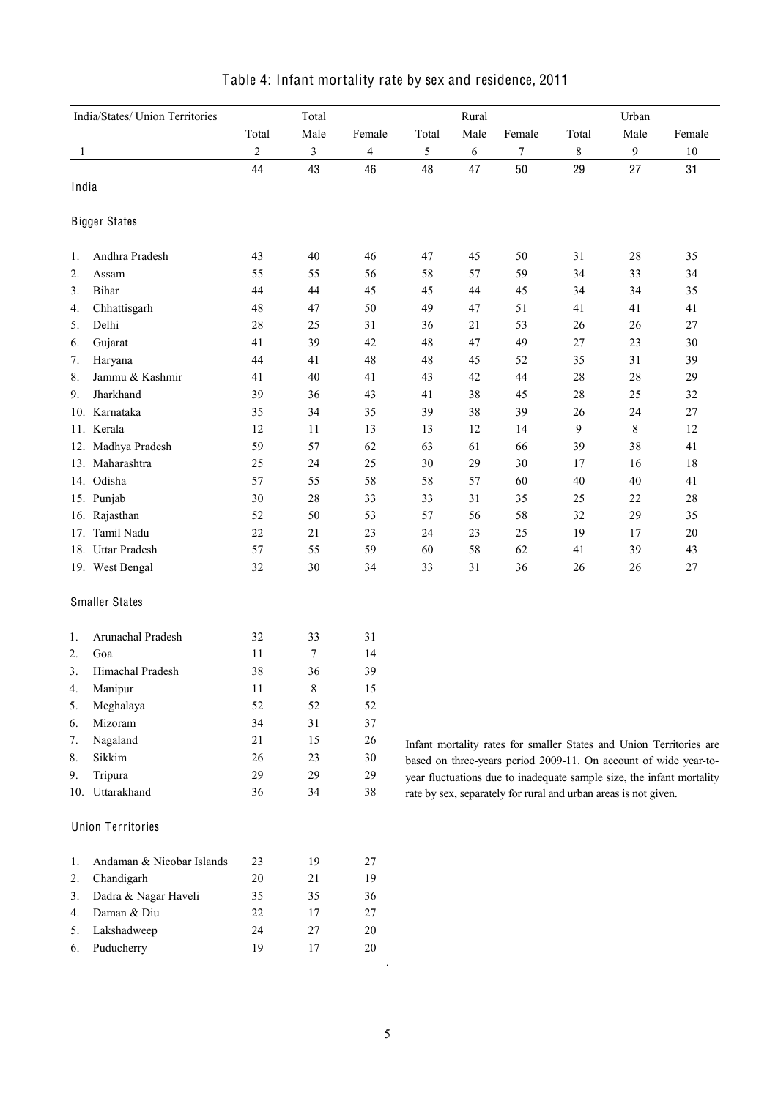| India/States/ Union Territories |                           | Total          |                |                         |            | Rural |                                                                 | Urban |                |                                                                                                                                           |  |
|---------------------------------|---------------------------|----------------|----------------|-------------------------|------------|-------|-----------------------------------------------------------------|-------|----------------|-------------------------------------------------------------------------------------------------------------------------------------------|--|
|                                 |                           | Total          | Male           | Female                  | Total      | Male  | Female                                                          | Total | Male           | Female                                                                                                                                    |  |
| 1                               |                           | $\overline{2}$ | $\mathfrak{Z}$ | $\overline{\mathbf{4}}$ | $\sqrt{5}$ | 6     | 7                                                               | $8\,$ | $\mathfrak{g}$ | 10                                                                                                                                        |  |
|                                 |                           | 44             | 43             | 46                      | 48         | 47    | 50                                                              | 29    | 27             | 31                                                                                                                                        |  |
| India                           |                           |                |                |                         |            |       |                                                                 |       |                |                                                                                                                                           |  |
|                                 | <b>Bigger States</b>      |                |                |                         |            |       |                                                                 |       |                |                                                                                                                                           |  |
| 1.                              | Andhra Pradesh            | 43             | 40             | 46                      | 47         | 45    | 50                                                              | 31    | $28\,$         | 35                                                                                                                                        |  |
| 2.                              | Assam                     | 55             | 55             | 56                      | 58         | 57    | 59                                                              | 34    | 33             | 34                                                                                                                                        |  |
| 3.                              | Bihar                     | 44             | 44             | 45                      | 45         | 44    | 45                                                              | 34    | 34             | 35                                                                                                                                        |  |
| 4.                              | Chhattisgarh              | 48             | 47             | 50                      | 49         | 47    | 51                                                              | 41    | 41             | 41                                                                                                                                        |  |
| 5.                              | Delhi                     | 28             | 25             | 31                      | 36         | 21    | 53                                                              | 26    | 26             | $27\,$                                                                                                                                    |  |
| 6.                              | Gujarat                   | 41             | 39             | 42                      | 48         | 47    | 49                                                              | 27    | 23             | 30                                                                                                                                        |  |
| 7.                              | Haryana                   | 44             | 41             | 48                      | 48         | 45    | 52                                                              | 35    | 31             | 39                                                                                                                                        |  |
| 8.                              | Jammu & Kashmir           | 41             | 40             | 41                      | 43         | 42    | 44                                                              | 28    | $28\,$         | 29                                                                                                                                        |  |
| 9.                              | Jharkhand                 | 39             | 36             | 43                      | 41         | 38    | 45                                                              | 28    | 25             | 32                                                                                                                                        |  |
|                                 | 10. Karnataka             | 35             | 34             | 35                      | 39         | 38    | 39                                                              | 26    | 24             | $27\,$                                                                                                                                    |  |
|                                 | 11. Kerala                | 12             | 11             | 13                      | 13         | 12    | 14                                                              | 9     | $8\,$          | 12                                                                                                                                        |  |
|                                 | 12. Madhya Pradesh        | 59             | 57             | 62                      | 63         | 61    | 66                                                              | 39    | 38             | 41                                                                                                                                        |  |
|                                 | 13. Maharashtra           | 25             | 24             | 25                      | 30         | 29    | 30                                                              | 17    | 16             | 18                                                                                                                                        |  |
|                                 | 14. Odisha                | 57             | 55             | 58                      | 58         | 57    | 60                                                              | 40    | 40             | 41                                                                                                                                        |  |
|                                 | 15. Punjab                | 30             | 28             | 33                      | 33         | 31    | 35                                                              | 25    | 22             | $28\,$                                                                                                                                    |  |
|                                 | 16. Rajasthan             | 52             | 50             | 53                      | 57         | 56    | 58                                                              | 32    | 29             | 35                                                                                                                                        |  |
|                                 | 17. Tamil Nadu            | 22             | 21             | 23                      | 24         | 23    | 25                                                              | 19    | 17             | $20\,$                                                                                                                                    |  |
|                                 | 18. Uttar Pradesh         | 57             | 55             | 59                      | 60         | 58    | 62                                                              | 41    | 39             | 43                                                                                                                                        |  |
|                                 | 19. West Bengal           | 32             | 30             | 34                      | 33         | 31    | 36                                                              | 26    | 26             | $27\,$                                                                                                                                    |  |
|                                 | <b>Smaller States</b>     |                |                |                         |            |       |                                                                 |       |                |                                                                                                                                           |  |
| 1.                              | Arunachal Pradesh         | 32             | 33             | 31                      |            |       |                                                                 |       |                |                                                                                                                                           |  |
| 2.                              | Goa                       | 11             | 7              | 14                      |            |       |                                                                 |       |                |                                                                                                                                           |  |
| 3.                              | Himachal Pradesh          | 38             | 36             | 39                      |            |       |                                                                 |       |                |                                                                                                                                           |  |
| 4.                              | Manipur                   | 11             | $\,$ $\,$      | 15                      |            |       |                                                                 |       |                |                                                                                                                                           |  |
| 5.                              | Meghalaya                 | 52             | 52             | 52                      |            |       |                                                                 |       |                |                                                                                                                                           |  |
| 6.                              | Mizoram                   | 34             | $31\,$         | 37                      |            |       |                                                                 |       |                |                                                                                                                                           |  |
| 7.                              | Nagaland                  | 21             | 15             | $26\,$                  |            |       |                                                                 |       |                |                                                                                                                                           |  |
| 8.                              | Sikkim                    | 26             | 23             | 30                      |            |       |                                                                 |       |                | Infant mortality rates for smaller States and Union Territories are                                                                       |  |
| 9.                              | Tripura                   | 29             | 29             | 29                      |            |       |                                                                 |       |                | based on three-years period 2009-11. On account of wide year-to-<br>year fluctuations due to inadequate sample size, the infant mortality |  |
|                                 | 10. Uttarakhand           | 36             | 34             | 38                      |            |       | rate by sex, separately for rural and urban areas is not given. |       |                |                                                                                                                                           |  |
|                                 | <b>Union Territories</b>  |                |                |                         |            |       |                                                                 |       |                |                                                                                                                                           |  |
|                                 |                           |                |                |                         |            |       |                                                                 |       |                |                                                                                                                                           |  |
| 1.                              | Andaman & Nicobar Islands | 23             | 19             | 27                      |            |       |                                                                 |       |                |                                                                                                                                           |  |
| 2.                              | Chandigarh                | $20\,$         | 21             | 19                      |            |       |                                                                 |       |                |                                                                                                                                           |  |
| 3.                              | Dadra & Nagar Haveli      | 35             | 35             | 36                      |            |       |                                                                 |       |                |                                                                                                                                           |  |
| 4.                              | Daman & Diu               | 22             | 17             | $27\,$                  |            |       |                                                                 |       |                |                                                                                                                                           |  |
| 5.                              | Lakshadweep               | 24             | $27\,$         | 20                      |            |       |                                                                 |       |                |                                                                                                                                           |  |
| 6.                              | Puducherry                | 19             | 17             | $20\,$                  |            |       |                                                                 |       |                |                                                                                                                                           |  |

## Table 4: Infant mortality rate by sex and residence, 2011